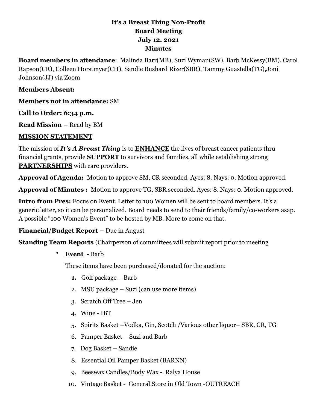## **It's a Breast Thing Non-Profit Board Meeting July 12, 2021 Minutes**

**Board members in attendance**: Malinda Barr(MB), Suzi Wyman(SW), Barb McKessy(BM), Carol Rapson(CR), Colleen Horstmyer(CH), Sandie Bushard Rizer(SBR), Tammy Guastella(TG),Joni Johnson(JJ) via Zoom

### **Members Absent:**

**Members not in attendance:** SM

**Call to Order: 6:34 p.m.**

**Read Mission –** Read by BM

### **MISSION STATEMENT**

The mission of *It's A Breast Thing* is to **ENHANCE** the lives of breast cancer patients thru financial grants, provide **SUPPORT** to survivors and families, all while establishing strong **PARTNERSHIPS** with care providers.

**Approval of Agenda:** Motion to approve SM, CR seconded. Ayes: 8. Nays: 0. Motion approved.

**Approval of Minutes :** Motion to approve TG, SBR seconded. Ayes: 8. Nays: 0. Motion approved.

**Intro from Pres:** Focus on Event. Letter to 100 Women will be sent to board members. It's a generic letter, so it can be personalized. Board needs to send to their friends/family/co-workers asap. A possible "100 Women's Event" to be hosted by MB. More to come on that.

### **Financial/Budget Report –** Due in August

**Standing Team Reports** (Chairperson of committees will submit report prior to meeting

• **Event -** Barb

These items have been purchased/donated for the auction:

- **1.** Golf package Barb
- 2. MSU package Suzi (can use more items)
- 3. Scratch Off Tree Jen
- 4. Wine IBT
- 5. Spirits Basket –Vodka, Gin, Scotch /Various other liquor– SBR, CR, TG
- 6. Pamper Basket Suzi and Barb
- 7. Dog Basket Sandie
- 8. Essential Oil Pamper Basket (BARNN)
- 9. Beeswax Candles/Body Wax Ralya House
- 10. Vintage Basket General Store in Old Town -OUTREACH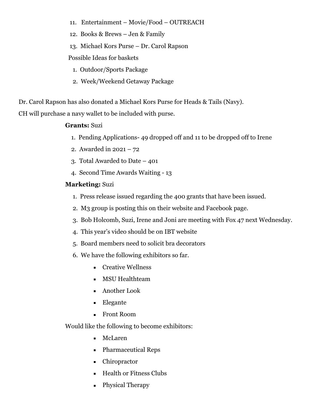- 11. Entertainment Movie/Food OUTREACH
- 12. Books & Brews Jen & Family
- 13. Michael Kors Purse Dr. Carol Rapson

Possible Ideas for baskets

- 1. Outdoor/Sports Package
- 2. Week/Weekend Getaway Package

Dr. Carol Rapson has also donated a Michael Kors Purse for Heads & Tails (Navy).

CH will purchase a navy wallet to be included with purse.

#### **Grants:** Suzi

- 1. Pending Applications- 49 dropped off and 11 to be dropped off to Irene
- 2. Awarded in 2021 72
- 3. Total Awarded to Date 401
- 4. Second Time Awards Waiting 13

#### **Marketing:** Suzi

- 1. Press release issued regarding the 400 grants that have been issued.
- 2. M3 group is posting this on their website and Facebook page.
- 3. Bob Holcomb, Suzi, Irene and Joni are meeting with Fox 47 next Wednesday.
- 4. This year's video should be on IBT website
- 5. Board members need to solicit bra decorators
- 6. We have the following exhibitors so far.
	- Creative Wellness
	- **EXECUTE Healthteam**
	- Another Look
	- Elegante
	- **EXECUTE:** Front Room

Would like the following to become exhibitors:

- McLaren
- Pharmaceutical Reps
- Chiropractor
- **Health or Fitness Clubs**
- Physical Therapy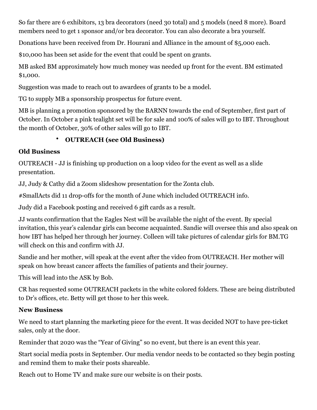So far there are 6 exhibitors, 13 bra decorators (need 30 total) and 5 models (need 8 more). Board members need to get 1 sponsor and/or bra decorator. You can also decorate a bra yourself.

Donations have been received from Dr. Hourani and Alliance in the amount of \$5,000 each.

\$10,000 has been set aside for the event that could be spent on grants.

MB asked BM approximately how much money was needed up front for the event. BM estimated \$1,000.

Suggestion was made to reach out to awardees of grants to be a model.

TG to supply MB a sponsorship prospectus for future event.

MB is planning a promotion sponsored by the BARNN towards the end of September, first part of October. In October a pink tealight set will be for sale and 100% of sales will go to IBT. Throughout the month of October, 30% of other sales will go to IBT.

# • **OUTREACH (see Old Business)**

# **Old Business**

OUTREACH - JJ is finishing up production on a loop video for the event as well as a slide presentation.

JJ, Judy & Cathy did a Zoom slideshow presentation for the Zonta club.

#SmallActs did 11 drop-offs for the month of June which included OUTREACH info.

Judy did a Facebook posting and received 6 gift cards as a result.

JJ wants confirmation that the Eagles Nest will be available the night of the event. By special invitation, this year's calendar girls can become acquainted. Sandie will oversee this and also speak on how IBT has helped her through her journey. Colleen will take pictures of calendar girls for BM.TG will check on this and confirm with JJ.

Sandie and her mother, will speak at the event after the video from OUTREACH. Her mother will speak on how breast cancer affects the families of patients and their journey.

This will lead into the ASK by Bob.

CR has requested some OUTREACH packets in the white colored folders. These are being distributed to Dr's offices, etc. Betty will get those to her this week.

# **New Business**

We need to start planning the marketing piece for the event. It was decided NOT to have pre-ticket sales, only at the door.

Reminder that 2020 was the "Year of Giving" so no event, but there is an event this year.

Start social media posts in September. Our media vendor needs to be contacted so they begin posting and remind them to make their posts shareable.

Reach out to Home TV and make sure our website is on their posts.